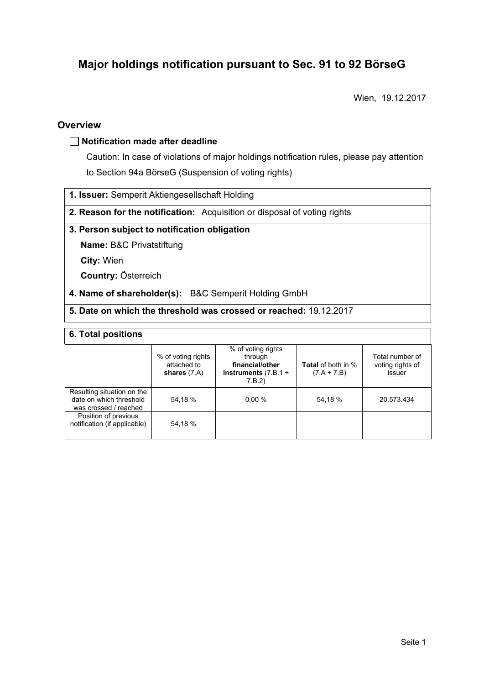# **Major holdings notification pursuant to Sec. 91 to 92 BörseG**

Wien, 19.12.2017

### **Overview**

### **Notification made after deadline**

Caution: In case of violations of major holdings notification rules, please pay attention to Section 94a BörseG (Suspension of voting rights)

**1. Issuer:** Semperit Aktiengesellschaft Holding

**2. Reason for the notification:** Acquisition or disposal of voting rights

### **3. Person subject to notification obligation**

**Name:** B&C Privatstiftung

**City:** Wien

**Country:** Österreich

**4. Name of shareholder(s):** B&C Semperit Holding GmbH

**5. Date on which the threshold was crossed or reached:** 19.12.2017

#### **6. Total positions**

|                                                                                | % of voting rights<br>attached to<br>shares $(7.A)$ | % of voting rights<br>through<br>financial/other<br>instruments $(7.B.1 +$<br>7.B.2) | <b>Total</b> of both in %<br>$(7.A + 7.B)$ | Total number of<br>voting rights of<br>issuer |  |  |
|--------------------------------------------------------------------------------|-----------------------------------------------------|--------------------------------------------------------------------------------------|--------------------------------------------|-----------------------------------------------|--|--|
| Resulting situation on the<br>date on which threshold<br>was crossed / reached | 54.18 %                                             | $0.00 \%$                                                                            | 54,18 %                                    | 20.573.434                                    |  |  |
| Position of previous<br>notification (if applicable)                           | 54.18 %                                             |                                                                                      |                                            |                                               |  |  |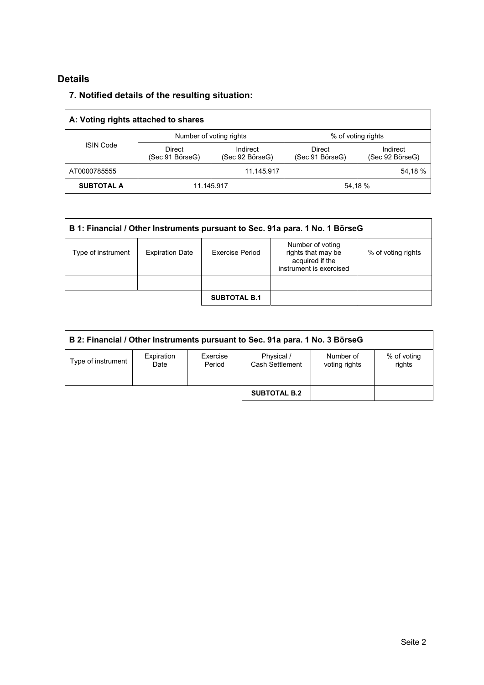# **Details**

# **7. Notified details of the resulting situation:**

| A: Voting rights attached to shares |                                  |                             |                                  |                             |  |
|-------------------------------------|----------------------------------|-----------------------------|----------------------------------|-----------------------------|--|
| <b>ISIN Code</b>                    |                                  | Number of voting rights     | % of voting rights               |                             |  |
|                                     | <b>Direct</b><br>(Sec 91 BörseG) | Indirect<br>(Sec 92 BörseG) | <b>Direct</b><br>(Sec 91 BörseG) | Indirect<br>(Sec 92 BörseG) |  |
| AT0000785555                        |                                  | 11.145.917                  |                                  | 54,18 %                     |  |
| <b>SUBTOTAL A</b>                   | 11.145.917                       |                             | 54,18 %                          |                             |  |

| B 1: Financial / Other Instruments pursuant to Sec. 91a para. 1 No. 1 BörseG |                        |                        |                                                                                      |                    |  |
|------------------------------------------------------------------------------|------------------------|------------------------|--------------------------------------------------------------------------------------|--------------------|--|
| Type of instrument                                                           | <b>Expiration Date</b> | <b>Exercise Period</b> | Number of voting<br>rights that may be<br>acquired if the<br>instrument is exercised | % of voting rights |  |
|                                                                              |                        |                        |                                                                                      |                    |  |
|                                                                              |                        | <b>SUBTOTAL B.1</b>    |                                                                                      |                    |  |

| B 2: Financial / Other Instruments pursuant to Sec. 91a para. 1 No. 3 BörseG |                    |                    |                               |                            |                       |
|------------------------------------------------------------------------------|--------------------|--------------------|-------------------------------|----------------------------|-----------------------|
| Type of instrument                                                           | Expiration<br>Date | Exercise<br>Period | Physical /<br>Cash Settlement | Number of<br>voting rights | % of voting<br>rights |
|                                                                              |                    |                    |                               |                            |                       |
|                                                                              |                    |                    | <b>SUBTOTAL B.2</b>           |                            |                       |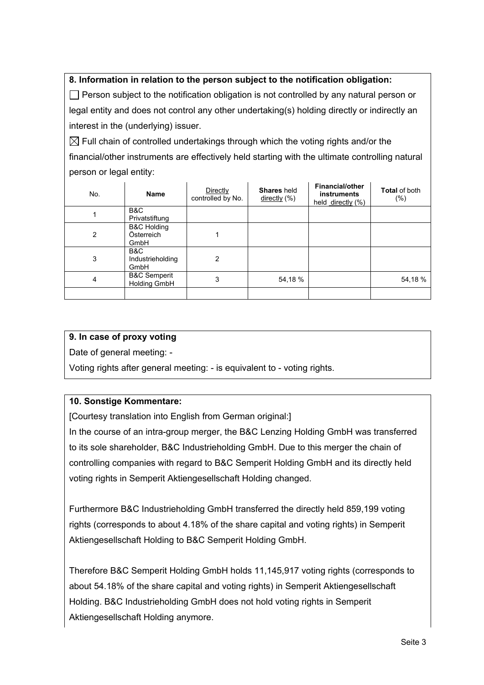# **8. Information in relation to the person subject to the notification obligation:**

 $\Box$  Person subject to the notification obligation is not controlled by any natural person or legal entity and does not control any other undertaking(s) holding directly or indirectly an interest in the (underlying) issuer.

 $\boxtimes$  Full chain of controlled undertakings through which the voting rights and/or the financial/other instruments are effectively held starting with the ultimate controlling natural person or legal entity:

| No. | <b>Name</b>                                  | Directly<br>controlled by No. | <b>Shares</b> held<br>$\frac{directly}{\sqrt{}}$ (%) | <b>Financial/other</b><br>instruments<br>held directly (%) | <b>Total of both</b><br>$(\%)$ |
|-----|----------------------------------------------|-------------------------------|------------------------------------------------------|------------------------------------------------------------|--------------------------------|
|     | B&C<br>Privatstiftung                        |                               |                                                      |                                                            |                                |
| 2   | <b>B&amp;C Holding</b><br>Österreich<br>GmbH |                               |                                                      |                                                            |                                |
| 3   | B&C<br>Industrieholding<br>GmbH              | 2                             |                                                      |                                                            |                                |
| 4   | <b>B&amp;C Semperit</b><br>Holding GmbH      | 3                             | 54,18 %                                              |                                                            | 54,18 %                        |
|     |                                              |                               |                                                      |                                                            |                                |

### **9. In case of proxy voting**

Date of general meeting: -

Voting rights after general meeting: - is equivalent to - voting rights.

# **10. Sonstige Kommentare:**

[Courtesy translation into English from German original:]

In the course of an intra-group merger, the B&C Lenzing Holding GmbH was transferred to its sole shareholder, B&C Industrieholding GmbH. Due to this merger the chain of controlling companies with regard to B&C Semperit Holding GmbH and its directly held voting rights in Semperit Aktiengesellschaft Holding changed.

Furthermore B&C Industrieholding GmbH transferred the directly held 859,199 voting rights (corresponds to about 4.18% of the share capital and voting rights) in Semperit Aktiengesellschaft Holding to B&C Semperit Holding GmbH.

Therefore B&C Semperit Holding GmbH holds 11,145,917 voting rights (corresponds to about 54.18% of the share capital and voting rights) in Semperit Aktiengesellschaft Holding. B&C Industrieholding GmbH does not hold voting rights in Semperit Aktiengesellschaft Holding anymore.